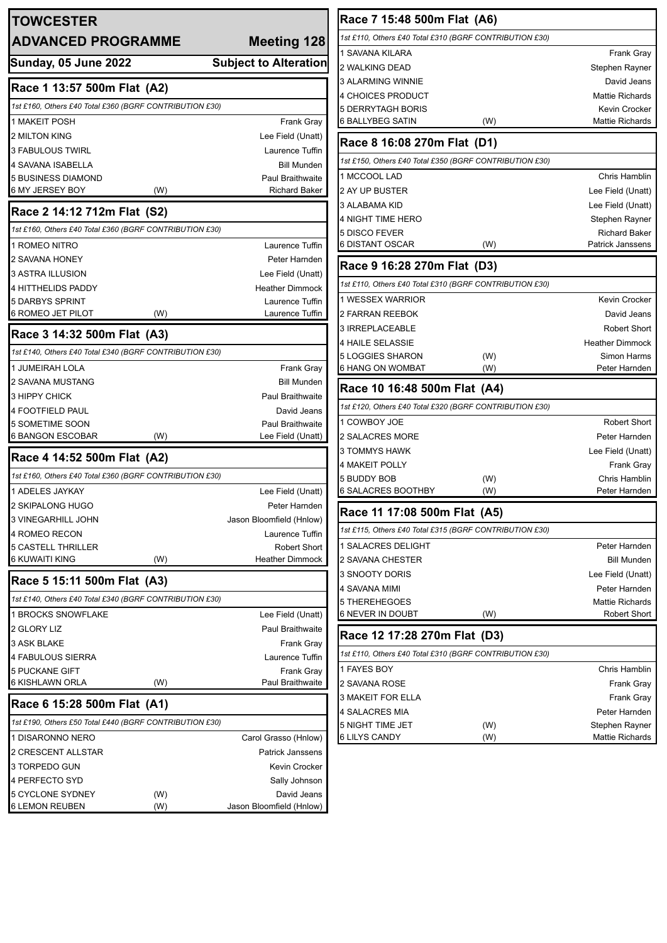| <b>TOWCESTER</b><br><b>ADVANCED PROGRAMME</b>           |     | Meeting 128                            |
|---------------------------------------------------------|-----|----------------------------------------|
| <b>Sunday, 05 June 2022</b>                             |     | <b>Subject to Alteration</b>           |
| Race 1 13:57 500m Flat (A2)                             |     |                                        |
| 1st £160, Others £40 Total £360 (BGRF CONTRIBUTION £30) |     |                                        |
| <b>1 MAKEIT POSH</b>                                    |     | Frank Gray                             |
| <b>2 MILTON KING</b>                                    |     | Lee Field (Unatt)                      |
| 3 FABULOUS TWIRL                                        |     | Laurence Tuffin                        |
| 4 SAVANA ISABELLA                                       |     | <b>Bill Munden</b>                     |
| <b>5 BUSINESS DIAMOND</b>                               |     | <b>Paul Braithwaite</b>                |
| 6 MY JERSEY BOY                                         | (W) | <b>Richard Baker</b>                   |
| Race 2 14:12 712m Flat (S2)                             |     |                                        |
| 1st £160, Others £40 Total £360 (BGRF CONTRIBUTION £30) |     |                                        |
| 1 ROMEO NITRO                                           |     | Laurence Tuffin                        |
| 2 SAVANA HONEY                                          |     | Peter Harnden                          |
| 3 ASTRA ILLUSION                                        |     | Lee Field (Unatt)                      |
| <b>4 HITTHELIDS PADDY</b>                               |     | <b>Heather Dimmock</b>                 |
| <b>5 DARBYS SPRINT</b><br><b>6 ROMEO JET PILOT</b>      | (W) | Laurence Tuffin<br>Laurence Tuffin     |
|                                                         |     |                                        |
| Race 3 14:32 500m Flat (A3)                             |     |                                        |
| 1st £140, Others £40 Total £340 (BGRF CONTRIBUTION £30) |     |                                        |
| 1 JUMEIRAH LOLA<br>2 SAVANA MUSTANG                     |     | Frank Gray<br><b>Bill Munden</b>       |
| 3 HIPPY CHICK                                           |     | <b>Paul Braithwaite</b>                |
| <b>4 FOOTFIELD PAUL</b>                                 |     | David Jeans                            |
| 5 SOMETIME SOON                                         |     | <b>Paul Braithwaite</b>                |
| 6 BANGON ESCOBAR                                        | (W) | Lee Field (Unatt)                      |
| Race 4 14:52 500m Flat (A2)                             |     |                                        |
| 1st £160, Others £40 Total £360 (BGRF CONTRIBUTION £30) |     |                                        |
| 1 ADELES JAYKAY                                         |     | Lee Field (Unatt)                      |
| 2 SKIPALONG HUGO                                        |     | Peter Harnden                          |
| <b>3 VINEGARHILL JOHN</b>                               |     | Jason Bloomfield (Hnlow)               |
| 4 ROMEO RECON                                           |     | Laurence Tuffin                        |
| <b>5 CASTELL THRILLER</b><br><b>6 KUWAITI KING</b>      | (W) | Robert Short<br><b>Heather Dimmock</b> |
|                                                         |     |                                        |
| Race 5 15:11 500m Flat (A3)                             |     |                                        |
| 1st £140, Others £40 Total £340 (BGRF CONTRIBUTION £30) |     |                                        |
| <b>1 BROCKS SNOWFLAKE</b>                               |     | Lee Field (Unatt)                      |
| 2 GLORY LIZ                                             |     | <b>Paul Braithwaite</b>                |
| 3 ASK BLAKE                                             |     | Frank Gray                             |
| <b>4 FABULOUS SIERRA</b><br><b>5 PUCKANE GIFT</b>       |     | Laurence Tuffin                        |
| 6 KISHLAWN ORLA                                         | (W) | <b>Frank Gray</b><br>Paul Braithwaite  |
|                                                         |     |                                        |
| Race 6 15:28 500m Flat (A1)                             |     |                                        |
| 1st £190, Others £50 Total £440 (BGRF CONTRIBUTION £30) |     |                                        |
| 1 DISARONNO NERO                                        |     | Carol Grasso (Hnlow)                   |
| 2 CRESCENT ALLSTAR                                      |     | <b>Patrick Janssens</b>                |
| 3 TORPEDO GUN<br><b>4 PERFECTO SYD</b>                  |     | Kevin Crocker                          |
| 5 CYCLONE SYDNEY                                        | (W) | Sally Johnson<br>David Jeans           |
| <b>6 LEMON REUBEN</b>                                   | (W) | Jason Bloomfield (Hnlow)               |

| Race 7 15:48 500m Flat (A6)                             |     |                         |  |  |
|---------------------------------------------------------|-----|-------------------------|--|--|
| 1st £110, Others £40 Total £310 (BGRF CONTRIBUTION £30) |     |                         |  |  |
| 1 SAVANA KILARA                                         |     | Frank Gray              |  |  |
| 2 WALKING DEAD                                          |     | Stephen Rayner          |  |  |
| 3 ALARMING WINNIE                                       |     | David Jeans             |  |  |
| 4 CHOICES PRODUCT                                       |     | <b>Mattie Richards</b>  |  |  |
| 5 DERRYTAGH BORIS                                       |     | Kevin Crocker           |  |  |
| 6 BALLYBEG SATIN                                        | (W) | <b>Mattie Richards</b>  |  |  |
| Race 8 16:08 270m Flat (D1)                             |     |                         |  |  |
| 1st £150, Others £40 Total £350 (BGRF CONTRIBUTION £30) |     |                         |  |  |
| 1 MCCOOL LAD                                            |     | Chris Hamblin           |  |  |
| 2 AY UP BUSTER                                          |     | Lee Field (Unatt)       |  |  |
| 3 ALABAMA KID                                           |     | Lee Field (Unatt)       |  |  |
| 4 NIGHT TIME HERO                                       |     | Stephen Rayner          |  |  |
| 5 DISCO FEVER                                           |     | <b>Richard Baker</b>    |  |  |
| 6 DISTANT OSCAR                                         | (W) | <b>Patrick Janssens</b> |  |  |
| Race 9 16:28 270m Flat (D3)                             |     |                         |  |  |
| 1st £110, Others £40 Total £310 (BGRF CONTRIBUTION £30) |     |                         |  |  |
| 1 WESSEX WARRIOR                                        |     | Kevin Crocker           |  |  |
| 2 FARRAN REEBOK                                         |     | David Jeans             |  |  |
| 3 IRREPLACEABLE                                         |     | <b>Robert Short</b>     |  |  |
| 4 HAILE SELASSIE                                        |     | <b>Heather Dimmock</b>  |  |  |
| 5 LOGGIES SHARON                                        | (W) | Simon Harms             |  |  |
| 6 HANG ON WOMBAT                                        | (W) | Peter Harnden           |  |  |
| Race 10 16:48 500m Flat (A4)                            |     |                         |  |  |
| 1st £120, Others £40 Total £320 (BGRF CONTRIBUTION £30) |     |                         |  |  |
| 1 COWBOY JOE                                            |     | Robert Short            |  |  |
| 2 SALACRES MORE                                         |     | Peter Harnden           |  |  |
| 3 TOMMYS HAWK                                           |     | Lee Field (Unatt)       |  |  |
| 4 MAKEIT POLLY                                          |     | Frank Gray              |  |  |
| 5 BUDDY BOB                                             | (W) | Chris Hamblin           |  |  |
| 6 SALACRES BOOTHBY                                      | (W) | Peter Harnden           |  |  |
| Race 11 17:08 500m Flat (A5)                            |     |                         |  |  |
| 1st £115, Others £40 Total £315 (BGRF CONTRIBUTION £30) |     |                         |  |  |
| 1 SALACRES DELIGHT                                      |     | Peter Harnden           |  |  |
| 2 SAVANA CHESTER                                        |     | <b>Bill Munden</b>      |  |  |
| 3 SNOOTY DORIS                                          |     | Lee Field (Unatt)       |  |  |
| 4 SAVANA MIMI                                           |     | Peter Harnden           |  |  |
| 5 THEREHEGOES                                           |     | <b>Mattie Richards</b>  |  |  |
| 6 NEVER IN DOUBT                                        | (W) | Robert Short            |  |  |
| Race 12 17:28 270m Flat (D3)                            |     |                         |  |  |
| 1st £110, Others £40 Total £310 (BGRF CONTRIBUTION £30) |     |                         |  |  |
| 1 FAYES BOY                                             |     | Chris Hamblin           |  |  |
| 2 SAVANA ROSE                                           |     | Frank Gray              |  |  |
| 3 MAKEIT FOR ELLA                                       |     | Frank Gray              |  |  |
| 4 SALACRES MIA                                          |     | Peter Harnden           |  |  |
| 5 NIGHT TIME JET                                        | (W) | Stephen Rayner          |  |  |
| 6 LILYS CANDY                                           | (W) | Mattie Richards         |  |  |